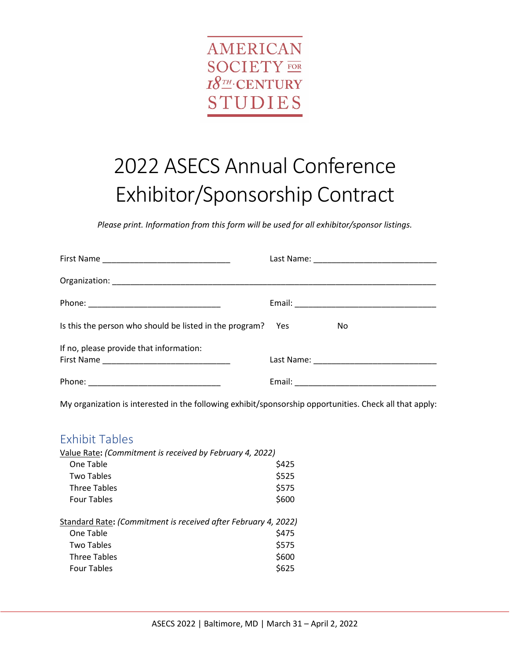

# 2022 ASECS Annual Conference Exhibitor/Sponsorship Contract

*Please print. Information from this form will be used for all exhibitor/sponsor listings.*

| Is this the person who should be listed in the program? Yes | No. |
|-------------------------------------------------------------|-----|
| If no, please provide that information:                     |     |
|                                                             |     |

My organization is interested in the following exhibit/sponsorship opportunities. Check all that apply:

#### Exhibit Tables

| Value Rate: (Commitment is received by February 4, 2022)       |
|----------------------------------------------------------------|
| \$425                                                          |
| \$525                                                          |
| \$575                                                          |
| \$600                                                          |
| Standard Rate: (Commitment is received after February 4, 2022) |
| \$475                                                          |
| \$575                                                          |
| \$600                                                          |
| \$625                                                          |
|                                                                |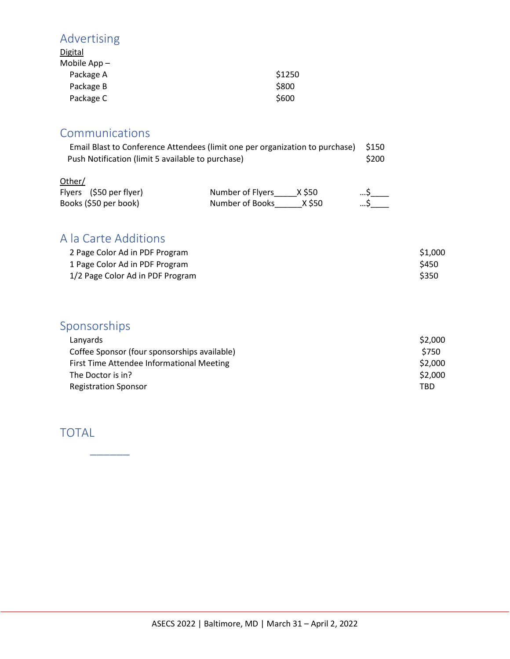## Advertising

| Digital        |        |
|----------------|--------|
| Mobile $App -$ |        |
| Package A      | \$1250 |
| Package B      | \$800  |
| Package C      | \$600  |

#### Communications

| Email Blast to Conference Attendees (limit one per organization to purchase) | S150 |
|------------------------------------------------------------------------------|------|
| Push Notification (limit 5 available to purchase)                            |      |
|                                                                              |      |

| Other/                  |                  |        |    |
|-------------------------|------------------|--------|----|
| Flyers (\$50 per flyer) | Number of Flyers | X \$50 | …S |
| Books (\$50 per book)   | Number of Books  | X \$50 |    |

### A la Carte Additions

| 2 Page Color Ad in PDF Program   | \$1,000 |
|----------------------------------|---------|
| 1 Page Color Ad in PDF Program   | \$450   |
| 1/2 Page Color Ad in PDF Program | \$350   |

## Sponsorships

| Lanyards                                     | \$2,000 |
|----------------------------------------------|---------|
| Coffee Sponsor (four sponsorships available) | \$750   |
| First Time Attendee Informational Meeting    | \$2,000 |
| The Doctor is in?                            | \$2,000 |
| <b>Registration Sponsor</b>                  | TBD.    |

#### TOTAL

 $\overline{\phantom{a}}$